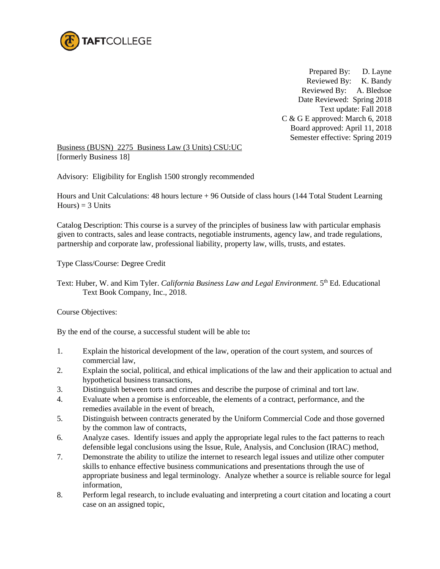

 Prepared By: D. Layne Reviewed By: K. Bandy Reviewed By: A. Bledsoe Date Reviewed: Spring 2018 Text update: Fall 2018 C & G E approved: March 6, 2018 Board approved: April 11, 2018 Semester effective: Spring 2019

Business (BUSN) 2275 Business Law (3 Units) CSU:UC [formerly Business 18]

Advisory: Eligibility for English 1500 strongly recommended

Hours and Unit Calculations: 48 hours lecture + 96 Outside of class hours (144 Total Student Learning  $Hours$ ) = 3 Units

Catalog Description: This course is a survey of the principles of business law with particular emphasis given to contracts, sales and lease contracts, negotiable instruments, agency law, and trade regulations, partnership and corporate law, professional liability, property law, wills, trusts, and estates.

Type Class/Course: Degree Credit

Text: Huber, W. and Kim Tyler. *California Business Law and Legal Environment*. 5th Ed. Educational Text Book Company, Inc., 2018.

Course Objectives:

By the end of the course, a successful student will be able to**:** 

- 1. Explain the historical development of the law, operation of the court system, and sources of commercial law,
- 2. Explain the social, political, and ethical implications of the law and their application to actual and hypothetical business transactions,
- 3. Distinguish between torts and crimes and describe the purpose of criminal and tort law.
- 4. Evaluate when a promise is enforceable, the elements of a contract, performance, and the remedies available in the event of breach,
- 5. Distinguish between contracts generated by the Uniform Commercial Code and those governed by the common law of contracts,
- 6. Analyze cases. Identify issues and apply the appropriate legal rules to the fact patterns to reach defensible legal conclusions using the Issue, Rule, Analysis, and Conclusion (IRAC) method,
- 7. Demonstrate the ability to utilize the internet to research legal issues and utilize other computer skills to enhance effective business communications and presentations through the use of appropriate business and legal terminology. Analyze whether a source is reliable source for legal information,
- 8. Perform legal research, to include evaluating and interpreting a court citation and locating a court case on an assigned topic,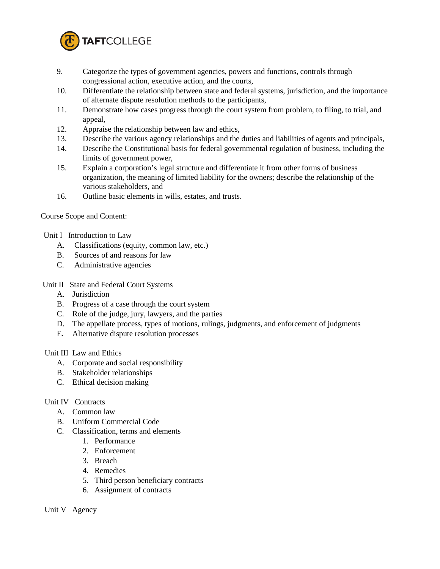

- 9. Categorize the types of government agencies, powers and functions, controls through congressional action, executive action, and the courts,
- 10. Differentiate the relationship between state and federal systems, jurisdiction, and the importance of alternate dispute resolution methods to the participants,
- 11. Demonstrate how cases progress through the court system from problem, to filing, to trial, and appeal,
- 12. Appraise the relationship between law and ethics,
- 13. Describe the various agency relationships and the duties and liabilities of agents and principals,
- 14. Describe the Constitutional basis for federal governmental regulation of business, including the limits of government power,
- 15. Explain a corporation's legal structure and differentiate it from other forms of business organization, the meaning of limited liability for the owners; describe the relationship of the various stakeholders, and
- 16. Outline basic elements in wills, estates, and trusts.

Course Scope and Content:

- Unit I Introduction to Law
	- A. Classifications (equity, common law, etc.)
	- B. Sources of and reasons for law
	- C. Administrative agencies
- Unit II State and Federal Court Systems
	- A. Jurisdiction
	- B. Progress of a case through the court system
	- C. Role of the judge, jury, lawyers, and the parties
	- D. The appellate process, types of motions, rulings, judgments, and enforcement of judgments
	- E. Alternative dispute resolution processes

### Unit III Law and Ethics

- A. Corporate and social responsibility
- B. Stakeholder relationships
- C. Ethical decision making

### Unit IV Contracts

- A. Common law
- B. Uniform Commercial Code
- C. Classification, terms and elements
	- 1. Performance
	- 2. Enforcement
	- 3. Breach
	- 4. Remedies
	- 5. Third person beneficiary contracts
	- 6. Assignment of contracts

Unit V Agency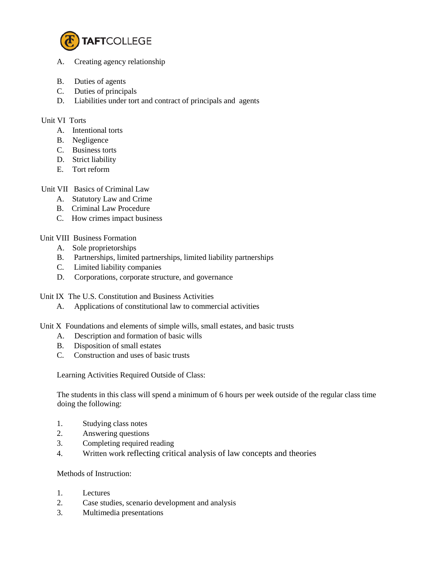

- A. Creating agency relationship
- B. Duties of agents
- C. Duties of principals
- D. Liabilities under tort and contract of principals and agents

## Unit VI Torts

- A. Intentional torts
- B. Negligence
- C. Business torts
- D. Strict liability
- E. Tort reform

## Unit VII Basics of Criminal Law

- A. Statutory Law and Crime
- B. Criminal Law Procedure
- C. How crimes impact business

## Unit VIII Business Formation

- A. Sole proprietorships
- B. Partnerships, limited partnerships, limited liability partnerships
- C. Limited liability companies
- D. Corporations, corporate structure, and governance

Unit IX The U.S. Constitution and Business Activities

A. Applications of constitutional law to commercial activities

Unit X Foundations and elements of simple wills, small estates, and basic trusts

- A. Description and formation of basic wills
- B. Disposition of small estates
- C. Construction and uses of basic trusts

Learning Activities Required Outside of Class:

The students in this class will spend a minimum of 6 hours per week outside of the regular class time doing the following:

- 1. Studying class notes
- 2. Answering questions
- 3. Completing required reading
- 4. Written work reflecting critical analysis of law concepts and theories

### Methods of Instruction:

- 1. Lectures
- 2. Case studies, scenario development and analysis
- 3. Multimedia presentations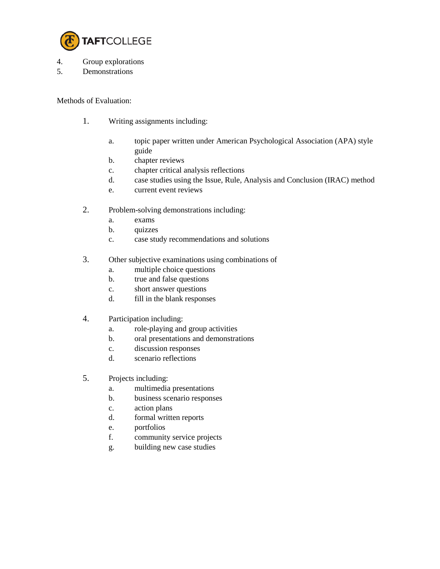

- 4. Group explorations
- 5. Demonstrations

Methods of Evaluation:

- 1. Writing assignments including:
	- a. topic paper written under American Psychological Association (APA) style guide
	- b. chapter reviews
	- c. chapter critical analysis reflections
	- d. case studies using the Issue, Rule, Analysis and Conclusion (IRAC) method
	- e. current event reviews
- 2. Problem-solving demonstrations including:
	- a. exams
	- b. quizzes
	- c. case study recommendations and solutions
- 3. Other subjective examinations using combinations of
	- a. multiple choice questions
	- b. true and false questions
	- c. short answer questions
	- d. fill in the blank responses
- 4. Participation including:
	- a. role-playing and group activities
	- b. oral presentations and demonstrations
	- c. discussion responses
	- d. scenario reflections
- 5. Projects including:
	- a. multimedia presentations
	- b. business scenario responses
	- c. action plans
	- d. formal written reports
	- e. portfolios
	- f. community service projects
	- g. building new case studies